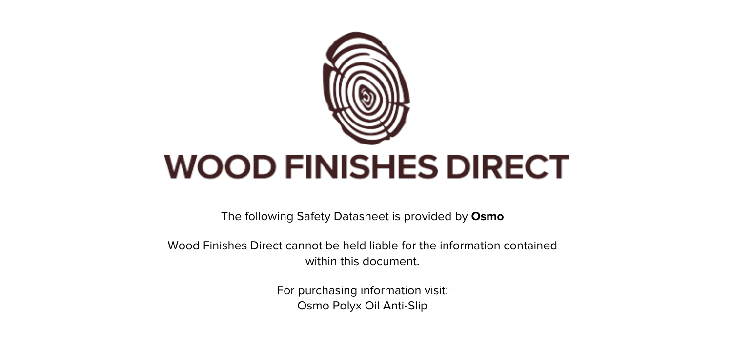

The following Safety Datasheet is provided by **Osmo**

Wood Finishes Direct cannot be held liable for the information contained within this document

> For purchasing information visit: [Osmo Polyx Oil Anti-Slip](https://www.wood-finishes-direct.com/product/osmo-polyx-oil-anti-slip-3089-r11)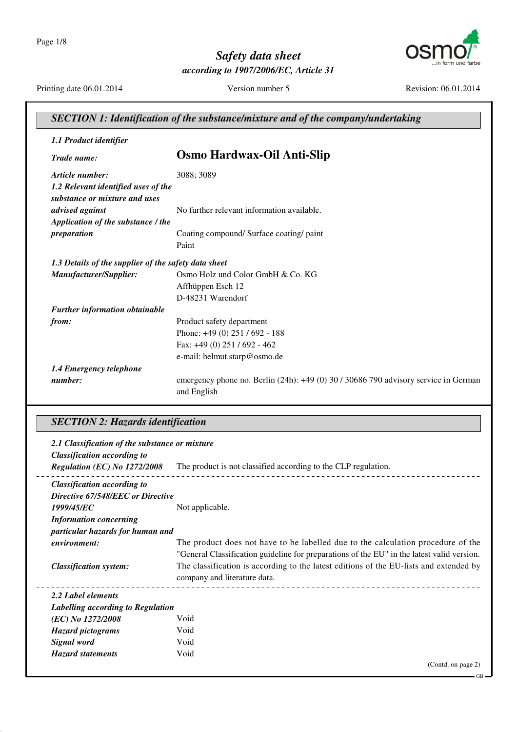

Printing date 06.01.2014

Version number 5

Revision: 06.01.2014

| SECTION 1: Identification of the substance/mixture and of the company/undertaking |                                                                                                        |
|-----------------------------------------------------------------------------------|--------------------------------------------------------------------------------------------------------|
| 1.1 Product identifier                                                            |                                                                                                        |
| Trade name:                                                                       | <b>Osmo Hardwax-Oil Anti-Slip</b>                                                                      |
| Article number:                                                                   | 3088; 3089                                                                                             |
| 1.2 Relevant identified uses of the<br>substance or mixture and uses              |                                                                                                        |
| advised against                                                                   | No further relevant information available.                                                             |
| Application of the substance / the                                                |                                                                                                        |
| preparation                                                                       | Coating compound/ Surface coating/ paint                                                               |
|                                                                                   | Paint                                                                                                  |
| 1.3 Details of the supplier of the safety data sheet                              |                                                                                                        |
| Manufacturer/Supplier:                                                            | Osmo Holz und Color GmbH & Co. KG                                                                      |
|                                                                                   | Affhüppen Esch 12                                                                                      |
|                                                                                   | D-48231 Warendorf                                                                                      |
| Further information obtainable                                                    |                                                                                                        |
| from:                                                                             | Product safety department                                                                              |
|                                                                                   | Phone: $+49(0)$ 251 / 692 - 188                                                                        |
|                                                                                   | Fax: $+49(0)$ 251 / 692 - 462                                                                          |
|                                                                                   | e-mail: helmut.starp@osmo.de                                                                           |
| 1.4 Emergency telephone                                                           |                                                                                                        |
| number:                                                                           | emergency phone no. Berlin $(24h)$ : $+49(0)$ 30 / 30686 790 advisory service in German<br>and English |

# **SECTION 2: Hazards identification**

| 2.1 Classification of the substance or mixture<br><b>Classification according to</b> |                                                                                            |
|--------------------------------------------------------------------------------------|--------------------------------------------------------------------------------------------|
| Regulation (EC) No $1272/2008$                                                       | The product is not classified according to the CLP regulation.                             |
| <b>Classification according to</b>                                                   |                                                                                            |
| Directive 67/548/EEC or Directive                                                    |                                                                                            |
| 1999/45/EC                                                                           | Not applicable.                                                                            |
| <b>Information concerning</b>                                                        |                                                                                            |
| particular hazards for human and                                                     |                                                                                            |
| environment:                                                                         | The product does not have to be labelled due to the calculation procedure of the           |
|                                                                                      | "General Classification guideline for preparations of the EU" in the latest valid version. |
| <b>Classification system:</b>                                                        | The classification is according to the latest editions of the EU-lists and extended by     |
|                                                                                      | company and literature data.                                                               |
| 2.2 Label elements                                                                   |                                                                                            |
| Labelling according to Regulation                                                    |                                                                                            |
| (EC) No 1272/2008                                                                    | Void                                                                                       |
| <b>Hazard pictograms</b>                                                             | Void                                                                                       |
| Signal word                                                                          | Void                                                                                       |
| <b>Hazard statements</b>                                                             | Void                                                                                       |
|                                                                                      | (Contd. on page 2)                                                                         |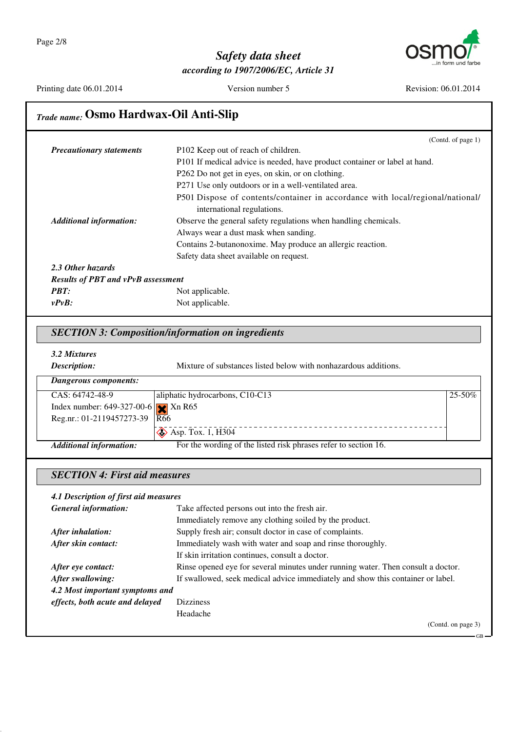

Printing date 06.01.2014

Version number 5

Revision: 06.01.2014

ς,

# Trade name: Osmo Hardwax-Oil Anti-Slip

|                                           | (Contd. of page $1$ )                                                                                        |
|-------------------------------------------|--------------------------------------------------------------------------------------------------------------|
| <b>Precautionary statements</b>           | P102 Keep out of reach of children.                                                                          |
|                                           | P101 If medical advice is needed, have product container or label at hand.                                   |
|                                           | P262 Do not get in eyes, on skin, or on clothing.                                                            |
|                                           | P271 Use only outdoors or in a well-ventilated area.                                                         |
|                                           | P501 Dispose of contents/container in accordance with local/regional/national/<br>international regulations. |
| <b>Additional information:</b>            | Observe the general safety regulations when handling chemicals.                                              |
|                                           | Always wear a dust mask when sanding.                                                                        |
|                                           | Contains 2-butanonoxime. May produce an allergic reaction.                                                   |
|                                           | Safety data sheet available on request.                                                                      |
| 2.3 Other hazards                         |                                                                                                              |
| <b>Results of PBT and vPvB assessment</b> |                                                                                                              |
| <b>PBT:</b>                               | Not applicable.                                                                                              |
| $v P v B$ :                               | Not applicable.                                                                                              |

#### **SECTION 3: Composition/information on ingredients**

|  | 3.2 Mixtures |
|--|--------------|
|--|--------------|

| Description:                                             | Mixture of substances listed below with nonhazardous additions. |             |
|----------------------------------------------------------|-----------------------------------------------------------------|-------------|
| Dangerous components:                                    |                                                                 |             |
| CAS: 64742-48-9                                          | aliphatic hydrocarbons, C10-C13                                 | $25 - 50\%$ |
| Index number: $649-327-00-6$ $\sqrt{\phantom{0}}$ Xn R65 |                                                                 |             |
| Reg.nr.: 01-2119457273-39   $\overline{R66}$             |                                                                 |             |
|                                                          | $\diamond$ Asp. Tox. 1, H304                                    |             |
| <b>Additional information:</b>                           | For the wording of the listed risk phrases refer to section 16. |             |

#### **SECTION 4: First aid measures**

| 4.1 Description of first aid measures |                                                                                  |
|---------------------------------------|----------------------------------------------------------------------------------|
| <b>General information:</b>           | Take affected persons out into the fresh air.                                    |
|                                       | Immediately remove any clothing soiled by the product.                           |
| After inhalation:                     | Supply fresh air; consult doctor in case of complaints.                          |
| After skin contact:                   | Immediately wash with water and soap and rinse thoroughly.                       |
|                                       | If skin irritation continues, consult a doctor.                                  |
| After eye contact:                    | Rinse opened eye for several minutes under running water. Then consult a doctor. |
| After swallowing:                     | If swallowed, seek medical advice immediately and show this container or label.  |
| 4.2 Most important symptoms and       |                                                                                  |
| effects, both acute and delayed       | <b>Dizziness</b>                                                                 |
|                                       | Headache                                                                         |
|                                       | (Contd. on page 3)                                                               |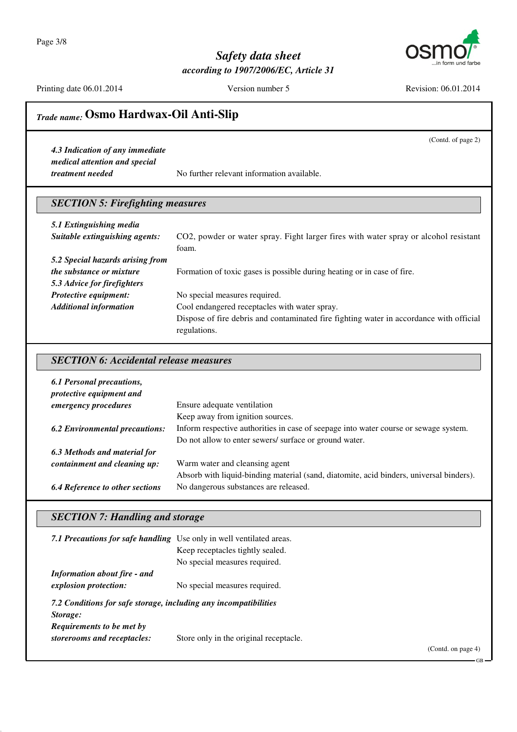Page 3/8



## Safety data sheet according to 1907/2006/EC, Article 31

Printing date 06.01.2014

Version number 5

Revision: 06.01.2014

(Contd. of page 2)

# Trade name: Osmo Hardwax-Oil Anti-Slip

4.3 Indication of any immediate medical attention and special treatment needed

No further relevant information available.

## **SECTION 5: Firefighting measures**

| 5.1 Extinguishing media          |                                                                                         |
|----------------------------------|-----------------------------------------------------------------------------------------|
| Suitable extinguishing agents:   | CO2, powder or water spray. Fight larger fires with water spray or alcohol resistant    |
|                                  | foam.                                                                                   |
| 5.2 Special hazards arising from |                                                                                         |
| <i>the substance or mixture</i>  | Formation of toxic gases is possible during heating or in case of fire.                 |
| 5.3 Advice for firefighters      |                                                                                         |
| Protective equipment:            | No special measures required.                                                           |
| <b>Additional information</b>    | Cool endangered receptacles with water spray.                                           |
|                                  | Dispose of fire debris and contaminated fire fighting water in accordance with official |
|                                  | regulations.                                                                            |

#### **SECTION 6: Accidental release measures**

| 6.1 Personal precautions,<br>protective equipment and |                                                                                         |  |
|-------------------------------------------------------|-----------------------------------------------------------------------------------------|--|
| emergency procedures                                  | Ensure adequate ventilation                                                             |  |
|                                                       | Keep away from ignition sources.                                                        |  |
| <b>6.2 Environmental precautions:</b>                 | Inform respective authorities in case of seepage into water course or sewage system.    |  |
|                                                       | Do not allow to enter sewers/ surface or ground water.                                  |  |
| 6.3 Methods and material for                          |                                                                                         |  |
| containment and cleaning up:                          | Warm water and cleansing agent                                                          |  |
|                                                       | Absorb with liquid-binding material (sand, diatomite, acid binders, universal binders). |  |
| <b>6.4 Reference to other sections</b>                | No dangerous substances are released.                                                   |  |

## **SECTION 7: Handling and storage**

| 7.1 Precautions for safe handling Use only in well ventilated areas. |                                        |                   |
|----------------------------------------------------------------------|----------------------------------------|-------------------|
|                                                                      | Keep receptacles tightly sealed.       |                   |
|                                                                      | No special measures required.          |                   |
| <b>Information about fire - and</b>                                  |                                        |                   |
| explosion protection:                                                | No special measures required.          |                   |
| 7.2 Conditions for safe storage, including any incompatibilities     |                                        |                   |
| Storage:                                                             |                                        |                   |
| <b>Requirements to be met by</b>                                     |                                        |                   |
| storerooms and receptacles:                                          | Store only in the original receptacle. |                   |
|                                                                      |                                        | (Cond. on page 4) |
|                                                                      |                                        |                   |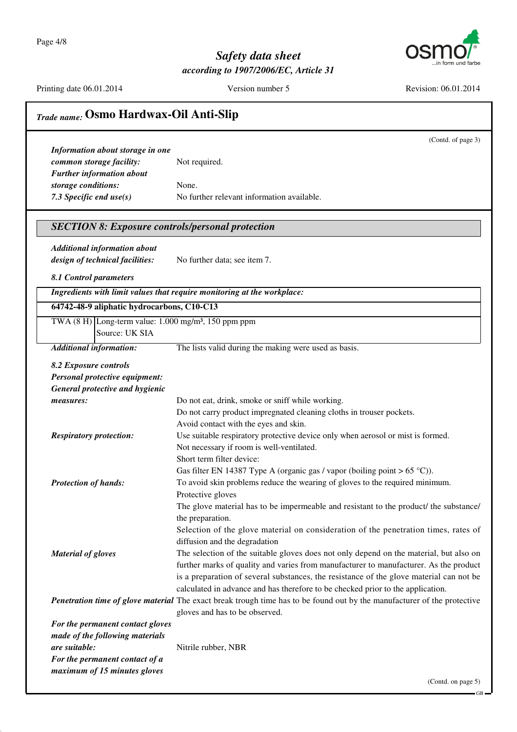Page 4/8



## Safety data sheet according to 1907/2006/EC, Article 31

Printing date 06.01.2014

Version number 5

Revision: 06.01.2014

| <b>Trade name: Osmo Hardwax-Oil Anti-Slip</b>                              |                                                                                                                          |  |
|----------------------------------------------------------------------------|--------------------------------------------------------------------------------------------------------------------------|--|
|                                                                            | (Contd. of page 3)                                                                                                       |  |
| Information about storage in one                                           |                                                                                                                          |  |
| common storage facility:                                                   | Not required.                                                                                                            |  |
| <b>Further information about</b>                                           |                                                                                                                          |  |
| storage conditions:                                                        | None.                                                                                                                    |  |
| 7.3 Specific end use(s)                                                    | No further relevant information available.                                                                               |  |
| <b>SECTION 8: Exposure controls/personal protection</b>                    |                                                                                                                          |  |
|                                                                            |                                                                                                                          |  |
| Additional information about                                               |                                                                                                                          |  |
| design of technical facilities:                                            | No further data; see item 7.                                                                                             |  |
| 8.1 Control parameters                                                     |                                                                                                                          |  |
|                                                                            | Ingredients with limit values that require monitoring at the workplace:                                                  |  |
| 64742-48-9 aliphatic hydrocarbons, C10-C13                                 |                                                                                                                          |  |
| TWA $(8 \text{ H})$ Long-term value: 1.000 mg/m <sup>3</sup> , 150 ppm ppm |                                                                                                                          |  |
| Source: UK SIA                                                             |                                                                                                                          |  |
| <b>Additional information:</b>                                             | The lists valid during the making were used as basis.                                                                    |  |
| 8.2 Exposure controls                                                      |                                                                                                                          |  |
| Personal protective equipment:                                             |                                                                                                                          |  |
| General protective and hygienic                                            |                                                                                                                          |  |
| measures:                                                                  | Do not eat, drink, smoke or sniff while working.                                                                         |  |
|                                                                            | Do not carry product impregnated cleaning cloths in trouser pockets.                                                     |  |
|                                                                            | Avoid contact with the eyes and skin.                                                                                    |  |
| <b>Respiratory protection:</b>                                             | Use suitable respiratory protective device only when aerosol or mist is formed.                                          |  |
|                                                                            | Not necessary if room is well-ventilated.                                                                                |  |
|                                                                            | Short term filter device:                                                                                                |  |
|                                                                            | Gas filter EN 14387 Type A (organic gas / vapor (boiling point $> 65$ °C)).                                              |  |
| <b>Protection of hands:</b>                                                | To avoid skin problems reduce the wearing of gloves to the required minimum.                                             |  |
|                                                                            | Protective gloves                                                                                                        |  |
|                                                                            | The glove material has to be impermeable and resistant to the product/ the substance/                                    |  |
|                                                                            | the preparation.                                                                                                         |  |
|                                                                            | Selection of the glove material on consideration of the penetration times, rates of                                      |  |
|                                                                            | diffusion and the degradation                                                                                            |  |
| <b>Material of gloves</b>                                                  | The selection of the suitable gloves does not only depend on the material, but also on                                   |  |
|                                                                            | further marks of quality and varies from manufacturer to manufacturer. As the product                                    |  |
|                                                                            | is a preparation of several substances, the resistance of the glove material can not be                                  |  |
|                                                                            | calculated in advance and has therefore to be checked prior to the application.                                          |  |
|                                                                            | Penetration time of glove material The exact break trough time has to be found out by the manufacturer of the protective |  |
|                                                                            | gloves and has to be observed.                                                                                           |  |
| For the permanent contact gloves                                           |                                                                                                                          |  |
| made of the following materials                                            |                                                                                                                          |  |
| are suitable:                                                              | Nitrile rubber, NBR                                                                                                      |  |
| For the permanent contact of a<br>maximum of 15 minutes gloves             |                                                                                                                          |  |

 $GB -$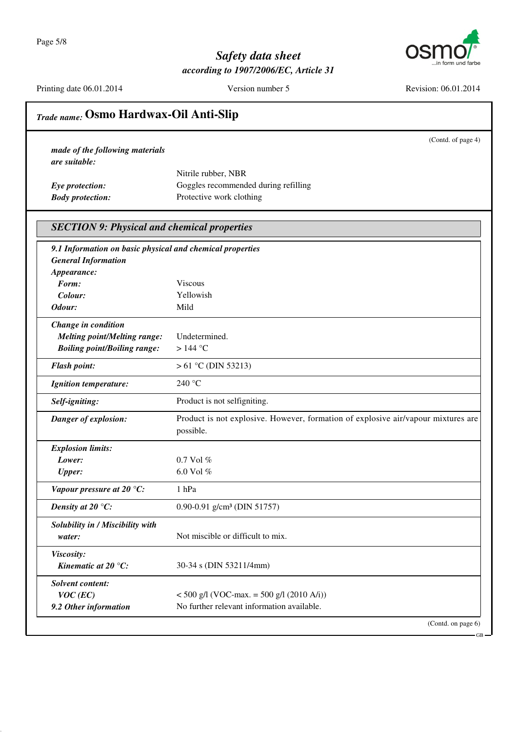Page 5/8



## Safety data sheet according to 1907/2006/EC, Article 31

Printing date 06.01.2014

Version number 5

Revision: 06.01.2014

|                                                           | (Contd. of page 4)                                                                |
|-----------------------------------------------------------|-----------------------------------------------------------------------------------|
| made of the following materials                           |                                                                                   |
| are suitable:                                             |                                                                                   |
|                                                           | Nitrile rubber, NBR                                                               |
| Eye protection:                                           | Goggles recommended during refilling                                              |
| <b>Body protection:</b>                                   | Protective work clothing                                                          |
| <b>SECTION 9: Physical and chemical properties</b>        |                                                                                   |
| 9.1 Information on basic physical and chemical properties |                                                                                   |
| <b>General Information</b>                                |                                                                                   |
| Appearance:                                               |                                                                                   |
| Form:                                                     | <b>Viscous</b>                                                                    |
| Colour:                                                   | Yellowish                                                                         |
| Odour:                                                    | Mild                                                                              |
| Change in condition                                       |                                                                                   |
| <b>Melting point/Melting range:</b>                       | Undetermined.                                                                     |
| <b>Boiling point/Boiling range:</b>                       | $>144$ °C                                                                         |
| <b>Flash point:</b>                                       | $> 61$ °C (DIN 53213)                                                             |
| <b>Ignition temperature:</b>                              | 240 °C                                                                            |
| Self-igniting:                                            | Product is not selfigniting.                                                      |
| Danger of explosion:                                      | Product is not explosive. However, formation of explosive air/vapour mixtures are |
|                                                           | possible.                                                                         |
| <b>Explosion limits:</b>                                  |                                                                                   |
| Lower:                                                    | $0.7$ Vol $%$                                                                     |
| <b>Upper:</b>                                             | 6.0 Vol %                                                                         |
| Vapour pressure at 20 °C:                                 | 1 hPa                                                                             |
| Density at 20 $\mathrm{C}$ :                              | 0.90-0.91 g/cm <sup>3</sup> (DIN 51757)                                           |
| Solubility in / Miscibility with                          |                                                                                   |
| water:                                                    | Not miscible or difficult to mix.                                                 |
| Viscosity:                                                |                                                                                   |
| Kinematic at 20 $^{\circ}$ C:                             | 30-34 s (DIN 53211/4mm)                                                           |
| <b>Solvent content:</b>                                   |                                                                                   |
| $VOC$ (EC)                                                | $<$ 500 g/l (VOC-max. = 500 g/l (2010 A/i))                                       |
| 9.2 Other information                                     | No further relevant information available.                                        |

 $-GB$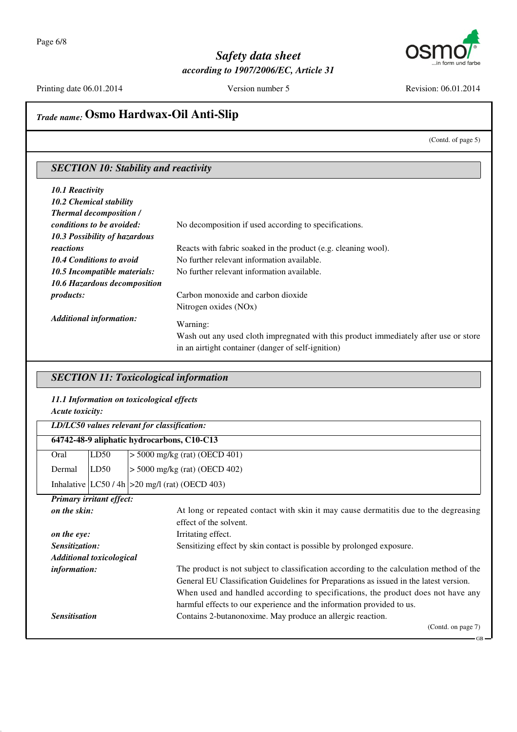

Printing date 06.01.2014

Version number 5

Revision: 06.01.2014

# Trade name: Osmo Hardwax-Oil Anti-Slip

(Contd. of page 5)

## **SECTION 10: Stability and reactivity**

| <b>10.1 Reactivity</b>           |                                                                                                                                            |
|----------------------------------|--------------------------------------------------------------------------------------------------------------------------------------------|
| <b>10.2 Chemical stability</b>   |                                                                                                                                            |
| <b>Thermal decomposition /</b>   |                                                                                                                                            |
| <i>conditions to be avoided:</i> | No decomposition if used according to specifications.                                                                                      |
| 10.3 Possibility of hazardous    |                                                                                                                                            |
| reactions                        | Reacts with fabric soaked in the product (e.g. cleaning wool).                                                                             |
| <b>10.4 Conditions to avoid</b>  | No further relevant information available.                                                                                                 |
| 10.5 Incompatible materials:     | No further relevant information available.                                                                                                 |
| 10.6 Hazardous decomposition     |                                                                                                                                            |
| <i>products:</i>                 | Carbon monoxide and carbon dioxide                                                                                                         |
|                                  | Nitrogen oxides (NO <sub>x</sub> )                                                                                                         |
| <b>Additional information:</b>   | Warning:                                                                                                                                   |
|                                  | Wash out any used cloth impregnated with this product immediately after use or store<br>in an airtight container (danger of self-ignition) |

#### **SECTION 11: Toxicological information**

# 11.1 Information on toxicological effects

Acute toxicity:

|                                 | LD/LC50 values relevant for classification: |                                                                                     |  |
|---------------------------------|---------------------------------------------|-------------------------------------------------------------------------------------|--|
|                                 | 64742-48-9 aliphatic hydrocarbons, C10-C13  |                                                                                     |  |
| Oral                            | LD50                                        | $> 5000$ mg/kg (rat) (OECD 401)                                                     |  |
| Dermal                          | LD50                                        | $> 5000$ mg/kg (rat) (OECD 402)                                                     |  |
|                                 |                                             | Inhalative $ LC50/4h  > 20$ mg/l (rat) (OECD 403)                                   |  |
|                                 | <b>Primary irritant effect:</b>             |                                                                                     |  |
| on the skin:                    |                                             | At long or repeated contact with skin it may cause dermatitis due to the degreasing |  |
|                                 |                                             | effect of the solvent.                                                              |  |
| on the eye:                     |                                             | Irritating effect.                                                                  |  |
| Sensitization:                  |                                             | Sensitizing effect by skin contact is possible by prolonged exposure.               |  |
| <b>Additional toxicological</b> |                                             |                                                                                     |  |

| <i>information:</i>  | The product is not subject to classification according to the calculation method of the |
|----------------------|-----------------------------------------------------------------------------------------|
|                      | General EU Classification Guidelines for Preparations as issued in the latest version.  |
|                      | When used and handled according to specifications, the product does not have any        |
|                      | harmful effects to our experience and the information provided to us.                   |
| <b>Sensitisation</b> | Contains 2-butanonoxime. May produce an allergic reaction.                              |

(Contd. on page 7)

 $\operatorname{GB}$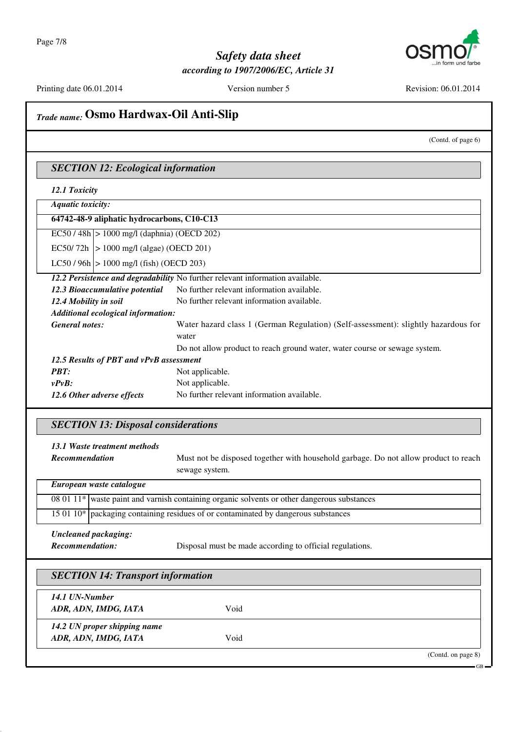

Printing date 06.01.2014

Version number 5

Revision: 06.01.2014

**GR** 

#### Trade name: Osmo Hardwax-Oil Anti-Slip (Contd. of page 6) **SECTION 12: Ecological information** 12.1 Toxicity **Aquatic toxicity:** 64742-48-9 aliphatic hydrocarbons, C10-C13  $|ECS0/48h| > 1000$  mg/l (daphnia) (OECD 202) EC50/72h  $|> 1000$  mg/l (algae) (OECD 201) LC50/96h  $|> 1000$  mg/l (fish) (OECD 203) 12.2 Persistence and degradability No further relevant information available. No further relevant information available. 12.3 Bioaccumulative potential No further relevant information available. 12.4 Mobility in soil Additional ecological information: Water hazard class 1 (German Regulation) (Self-assessment): slightly hazardous for **General notes:** water Do not allow product to reach ground water, water course or sewage system. 12.5 Results of PBT and vPvB assessment **PBT:** Not applicable.  $vPvB$ : Not applicable. 12.6 Other adverse effects No further relevant information available. **SECTION 13: Disposal considerations** 13.1 Waste treatment methods Must not be disposed together with household garbage. Do not allow product to reach **Recommendation** sewage system. European waste catalogue  $080111*$ waste paint and varnish containing organic solvents or other dangerous substances  $15.0110*$ packaging containing residues of or contaminated by dangerous substances Uncleaned packaging: Recommendation: Disposal must be made according to official regulations. **SECTION 14: Transport information** 14.1 UN-Number Void ADR, ADN, IMDG, IATA 14.2 UN proper shipping name Void ADR, ADN, IMDG, IATA (Contd. on page 8)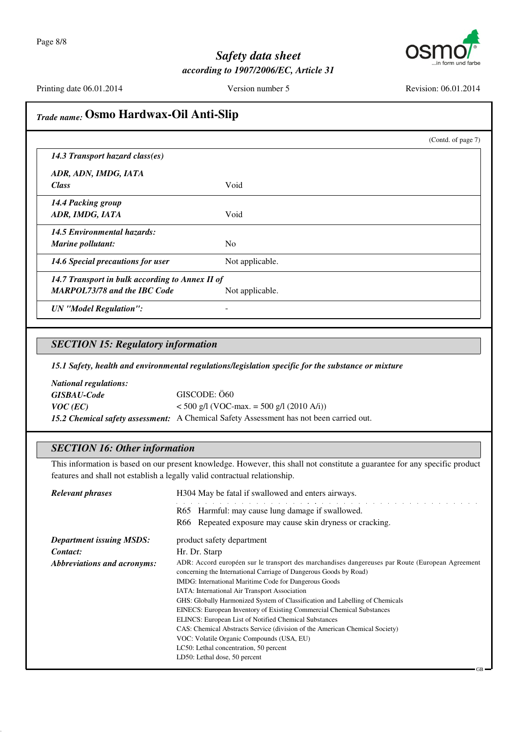

Printing date 06.01.2014

Version number 5

Void

Void

N<sub>o</sub>

Not applicable.

Revision: 06.01.2014

(Contd. of page 7)

## Trade name: Osmo Hardwax-Oil Anti-Slip

14.3 Transport hazard class(es)

ADR, ADN, IMDG, IATA **Class** 

14.4 Packing group ADR, IMDG, IATA 14.5 Environmental hazards:

Marine pollutant: 14.6 Special precautions for user

14.7 Transport in bulk according to Annex II of **MARPOL73/78 and the IBC Code** Not applicable.

**UN** "Model Regulation":

#### **SECTION 15: Regulatory information**

15.1 Safety, health and environmental regulations/legislation specific for the substance or mixture

 $\overline{a}$ 

**National regulations: GISBAU-Code** GISCODE: Ö60  $VOC$  (EC)  $<$  500 g/l (VOC-max. = 500 g/l (2010 A/i)) 15.2 Chemical safety assessment: A Chemical Safety Assessment has not been carried out.

#### **SECTION 16: Other information**

This information is based on our present knowledge. However, this shall not constitute a guarantee for any specific product features and shall not establish a legally valid contractual relationship.

| <b>Relevant phrases</b>         | H304 May be fatal if swallowed and enters airways.                                                                                                                                                                                                                                                                                                                                                                                                                                                                                                                                                                                                                                                               |
|---------------------------------|------------------------------------------------------------------------------------------------------------------------------------------------------------------------------------------------------------------------------------------------------------------------------------------------------------------------------------------------------------------------------------------------------------------------------------------------------------------------------------------------------------------------------------------------------------------------------------------------------------------------------------------------------------------------------------------------------------------|
|                                 | R65 Harmful: may cause lung damage if swallowed.                                                                                                                                                                                                                                                                                                                                                                                                                                                                                                                                                                                                                                                                 |
|                                 | R66 Repeated exposure may cause skin dryness or cracking.                                                                                                                                                                                                                                                                                                                                                                                                                                                                                                                                                                                                                                                        |
| <b>Department issuing MSDS:</b> | product safety department                                                                                                                                                                                                                                                                                                                                                                                                                                                                                                                                                                                                                                                                                        |
| Contact:                        | Hr. Dr. Starp                                                                                                                                                                                                                                                                                                                                                                                                                                                                                                                                                                                                                                                                                                    |
| Abbreviations and acronyms:     | ADR: Accord européen sur le transport des marchandises dangereuses par Route (European Agreement)<br>concerning the International Carriage of Dangerous Goods by Road)<br>IMDG: International Maritime Code for Dangerous Goods<br>IATA: International Air Transport Association<br>GHS: Globally Harmonized System of Classification and Labelling of Chemicals<br>EINECS: European Inventory of Existing Commercial Chemical Substances<br><b>ELINCS:</b> European List of Notified Chemical Substances<br>CAS: Chemical Abstracts Service (division of the American Chemical Society)<br>VOC: Volatile Organic Compounds (USA, EU)<br>LC50: Lethal concentration, 50 percent<br>LD50: Lethal dose, 50 percent |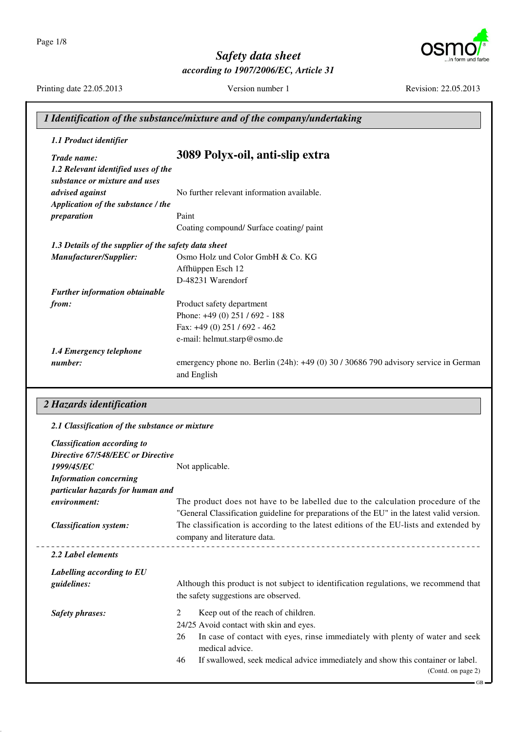Page 1/8



## Safety data sheet according to 1907/2006/EC, Article 31

Printing date 22.05.2013

Version number 1

Revision: 22.05.2013

|                                                                      | 1 Identification of the substance/mixture and of the company/undertaking                           |
|----------------------------------------------------------------------|----------------------------------------------------------------------------------------------------|
| 1.1 Product identifier                                               |                                                                                                    |
| Trade name:                                                          | 3089 Polyx-oil, anti-slip extra                                                                    |
| 1.2 Relevant identified uses of the<br>substance or mixture and uses |                                                                                                    |
| advised against                                                      | No further relevant information available.                                                         |
| Application of the substance / the                                   |                                                                                                    |
| preparation                                                          | Paint                                                                                              |
|                                                                      | Coating compound/ Surface coating/ paint                                                           |
| 1.3 Details of the supplier of the safety data sheet                 |                                                                                                    |
| Manufacturer/Supplier:                                               | Osmo Holz und Color GmbH & Co. KG                                                                  |
|                                                                      | Affhüppen Esch 12                                                                                  |
|                                                                      | D-48231 Warendorf                                                                                  |
| <b>Further information obtainable</b>                                |                                                                                                    |
| from:                                                                | Product safety department                                                                          |
|                                                                      | Phone: +49 (0) 251 / 692 - 188                                                                     |
|                                                                      | Fax: +49 (0) 251 / 692 - 462                                                                       |
|                                                                      | e-mail: helmut.starp@osmo.de                                                                       |
| 1.4 Emergency telephone                                              |                                                                                                    |
| number:                                                              | emergency phone no. Berlin (24h): +49 (0) 30 / 30686 790 advisory service in German<br>and English |

#### 2 Hazards identification

| 2.1 Classification of the substance or mixture |                                                                                                        |
|------------------------------------------------|--------------------------------------------------------------------------------------------------------|
| <b>Classification according to</b>             |                                                                                                        |
| Directive 67/548/EEC or Directive              |                                                                                                        |
| 1999/45/EC                                     | Not applicable.                                                                                        |
| <b>Information concerning</b>                  |                                                                                                        |
| particular hazards for human and               |                                                                                                        |
| environment:                                   | The product does not have to be labelled due to the calculation procedure of the                       |
|                                                | "General Classification guideline for preparations of the EU" in the latest valid version.             |
| <b>Classification system:</b>                  | The classification is according to the latest editions of the EU-lists and extended by                 |
|                                                | company and literature data.                                                                           |
| 2.2 Label elements                             |                                                                                                        |
| Labelling according to EU                      |                                                                                                        |
| guidelines:                                    | Although this product is not subject to identification regulations, we recommend that                  |
|                                                | the safety suggestions are observed.                                                                   |
| <b>Safety phrases:</b>                         | 2<br>Keep out of the reach of children.                                                                |
|                                                | 24/25 Avoid contact with skin and eyes.                                                                |
|                                                | 26<br>In case of contact with eyes, rinse immediately with plenty of water and seek<br>medical advice. |
|                                                | If swallowed, seek medical advice immediately and show this container or label.<br>46                  |
|                                                | (Contd. on page 2)                                                                                     |
|                                                |                                                                                                        |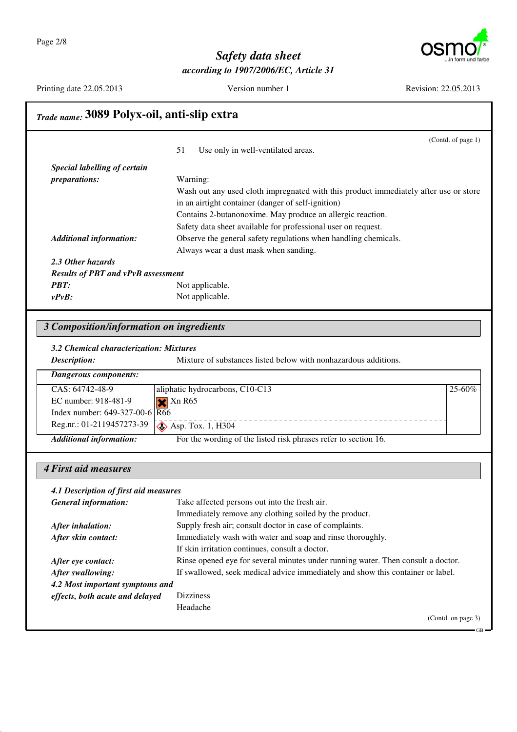

(Contd. of page 1)

## Safety data sheet according to 1907/2006/EC, Article 31

Printing date 22.05.2013

Version number 1

Revision: 22.05.2013

# Trade name: 3089 Polyx-oil, anti-slip extra

|                                           | Use only in well-ventilated areas.<br>51                                             |
|-------------------------------------------|--------------------------------------------------------------------------------------|
| Special labelling of certain              |                                                                                      |
| <i>preparations:</i>                      | Warning:                                                                             |
|                                           | Wash out any used cloth impregnated with this product immediately after use or store |
|                                           | in an airtight container (danger of self-ignition)                                   |
|                                           | Contains 2-butanonoxime. May produce an allergic reaction.                           |
|                                           | Safety data sheet available for professional user on request.                        |
| <b>Additional information:</b>            | Observe the general safety regulations when handling chemicals.                      |
|                                           | Always wear a dust mask when sanding.                                                |
| 2.3 Other hazards                         |                                                                                      |
| <b>Results of PBT and vPvB assessment</b> |                                                                                      |
| <b>PBT:</b>                               | Not applicable.                                                                      |
| $v P v B$ :                               | Not applicable.                                                                      |

#### 3 Composition/information on ingredients

3.2 Chemical characterization: Mixtures

Mixture of substances listed below with nonhazardous additions. Description:

| Dangerous components:                         |                                                                 |             |
|-----------------------------------------------|-----------------------------------------------------------------|-------------|
| CAS: 64742-48-9                               | aliphatic hydrocarbons, C10-C13                                 | $25 - 60\%$ |
| EC number: 918-481-9                          | $\blacktriangleright$ Xn R65                                    |             |
| Index number: $649-327-00-6$ $\overline{R66}$ |                                                                 |             |
|                                               |                                                                 |             |
| <b>Additional information:</b>                | For the wording of the listed risk phrases refer to section 16. |             |

#### 4 First aid measures

| 4.1 Description of first aid measures |                                                                                  |
|---------------------------------------|----------------------------------------------------------------------------------|
| <b>General information:</b>           | Take affected persons out into the fresh air.                                    |
|                                       | Immediately remove any clothing soiled by the product.                           |
| After inhalation:                     | Supply fresh air; consult doctor in case of complaints.                          |
| After skin contact:                   | Immediately wash with water and soap and rinse thoroughly.                       |
|                                       | If skin irritation continues, consult a doctor.                                  |
| After eye contact:                    | Rinse opened eye for several minutes under running water. Then consult a doctor. |
| After swallowing:                     | If swallowed, seek medical advice immediately and show this container or label.  |
| 4.2 Most important symptoms and       |                                                                                  |
| effects, both acute and delayed       | <b>Dizziness</b>                                                                 |
|                                       | Headache                                                                         |
|                                       | (Contd. on page 3)                                                               |

GR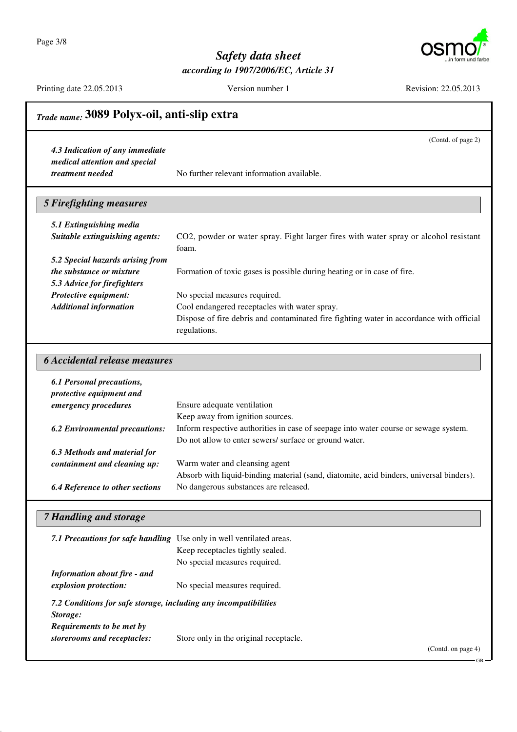Page 3/8



(Contd. of page 2)

## Safety data sheet according to 1907/2006/EC, Article 31

Printing date 22.05.2013

Version number 1

Revision: 22.05.2013

# Trade name: 3089 Polyx-oil, anti-slip extra

4.3 Indication of any immediate medical attention and special treatment needed

No further relevant information available.

| <b>5 Firefighting measures</b>   |                                                                                                         |
|----------------------------------|---------------------------------------------------------------------------------------------------------|
| 5.1 Extinguishing media          |                                                                                                         |
| Suitable extinguishing agents:   | CO2, powder or water spray. Fight larger fires with water spray or alcohol resistant<br>foam.           |
| 5.2 Special hazards arising from |                                                                                                         |
| the substance or mixture         | Formation of toxic gases is possible during heating or in case of fire.                                 |
| 5.3 Advice for firefighters      |                                                                                                         |
| Protective equipment:            | No special measures required.                                                                           |
| <b>Additional information</b>    | Cool endangered receptacles with water spray.                                                           |
|                                  | Dispose of fire debris and contaminated fire fighting water in accordance with official<br>regulations. |

#### **6 Accidental release measures**

| <b>6.1 Personal precautions,</b><br>protective equipment and |                                                                                         |
|--------------------------------------------------------------|-----------------------------------------------------------------------------------------|
| emergency procedures                                         | Ensure adequate ventilation                                                             |
|                                                              | Keep away from ignition sources.                                                        |
| <b>6.2 Environmental precautions:</b>                        | Inform respective authorities in case of seepage into water course or sewage system.    |
|                                                              | Do not allow to enter sewers/ surface or ground water.                                  |
| 6.3 Methods and material for                                 |                                                                                         |
| containment and cleaning up:                                 | Warm water and cleansing agent                                                          |
|                                                              | Absorb with liquid-binding material (sand, diatomite, acid binders, universal binders). |
| <b>6.4 Reference to other sections</b>                       | No dangerous substances are released.                                                   |

#### **7 Handling and storage**

|                                                                              | 7.1 Precautions for safe handling Use only in well ventilated areas.<br>Keep receptacles tightly sealed.<br>No special measures required. |
|------------------------------------------------------------------------------|-------------------------------------------------------------------------------------------------------------------------------------------|
| <b>Information about fire - and</b><br>explosion protection:                 | No special measures required.                                                                                                             |
| 7.2 Conditions for safe storage, including any incompatibilities<br>Storage: |                                                                                                                                           |
| Requirements to be met by<br>storerooms and receptacles:                     | Store only in the original receptacle.                                                                                                    |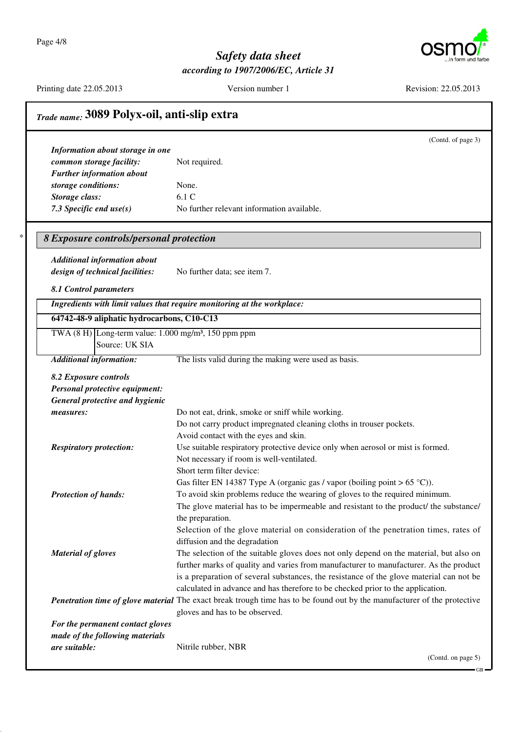Page 4/8

 $\ast$ 



 $-GB$ 

## Safety data sheet according to 1907/2006/EC, Article 31

Printing date 22.05.2013

Version number 1

Revision: 22.05.2013

|                                                                            | Trade name: 3089 Polyx-oil, anti-slip extra                                                                              |  |
|----------------------------------------------------------------------------|--------------------------------------------------------------------------------------------------------------------------|--|
|                                                                            | (Contd. of page 3)                                                                                                       |  |
| Information about storage in one                                           |                                                                                                                          |  |
| common storage facility:                                                   | Not required.                                                                                                            |  |
| <b>Further information about</b>                                           |                                                                                                                          |  |
| storage conditions:                                                        | None.                                                                                                                    |  |
| Storage class:                                                             | 6.1 C                                                                                                                    |  |
| 7.3 Specific end $use(s)$                                                  | No further relevant information available.                                                                               |  |
| 8 Exposure controls/personal protection                                    |                                                                                                                          |  |
| <b>Additional information about</b>                                        |                                                                                                                          |  |
| design of technical facilities:                                            | No further data; see item 7.                                                                                             |  |
|                                                                            |                                                                                                                          |  |
| 8.1 Control parameters                                                     |                                                                                                                          |  |
|                                                                            | Ingredients with limit values that require monitoring at the workplace:                                                  |  |
| 64742-48-9 aliphatic hydrocarbons, C10-C13                                 |                                                                                                                          |  |
| TWA $(8 \text{ H})$ Long-term value: 1.000 mg/m <sup>3</sup> , 150 ppm ppm |                                                                                                                          |  |
| Source: UK SIA                                                             |                                                                                                                          |  |
| <b>Additional information:</b>                                             | The lists valid during the making were used as basis.                                                                    |  |
| 8.2 Exposure controls                                                      |                                                                                                                          |  |
| Personal protective equipment:                                             |                                                                                                                          |  |
| General protective and hygienic                                            |                                                                                                                          |  |
| measures:                                                                  | Do not eat, drink, smoke or sniff while working.                                                                         |  |
|                                                                            | Do not carry product impregnated cleaning cloths in trouser pockets.                                                     |  |
|                                                                            | Avoid contact with the eyes and skin.                                                                                    |  |
| <b>Respiratory protection:</b>                                             | Use suitable respiratory protective device only when aerosol or mist is formed.                                          |  |
|                                                                            | Not necessary if room is well-ventilated.                                                                                |  |
|                                                                            | Short term filter device:                                                                                                |  |
|                                                                            | Gas filter EN 14387 Type A (organic gas / vapor (boiling point $> 65$ °C)).                                              |  |
| <b>Protection of hands:</b>                                                | To avoid skin problems reduce the wearing of gloves to the required minimum.                                             |  |
|                                                                            | The glove material has to be impermeable and resistant to the product/ the substance/                                    |  |
|                                                                            | the preparation.                                                                                                         |  |
|                                                                            | Selection of the glove material on consideration of the penetration times, rates of                                      |  |
|                                                                            | diffusion and the degradation                                                                                            |  |
| <b>Material of gloves</b>                                                  | The selection of the suitable gloves does not only depend on the material, but also on                                   |  |
|                                                                            | further marks of quality and varies from manufacturer to manufacturer. As the product                                    |  |
|                                                                            | is a preparation of several substances, the resistance of the glove material can not be                                  |  |
|                                                                            | calculated in advance and has therefore to be checked prior to the application.                                          |  |
|                                                                            | Penetration time of glove material The exact break trough time has to be found out by the manufacturer of the protective |  |
|                                                                            | gloves and has to be observed.                                                                                           |  |
| For the permanent contact gloves                                           |                                                                                                                          |  |
| made of the following materials                                            |                                                                                                                          |  |
| are suitable:                                                              | Nitrile rubber, NBR                                                                                                      |  |
|                                                                            | (Contd. on page 5)                                                                                                       |  |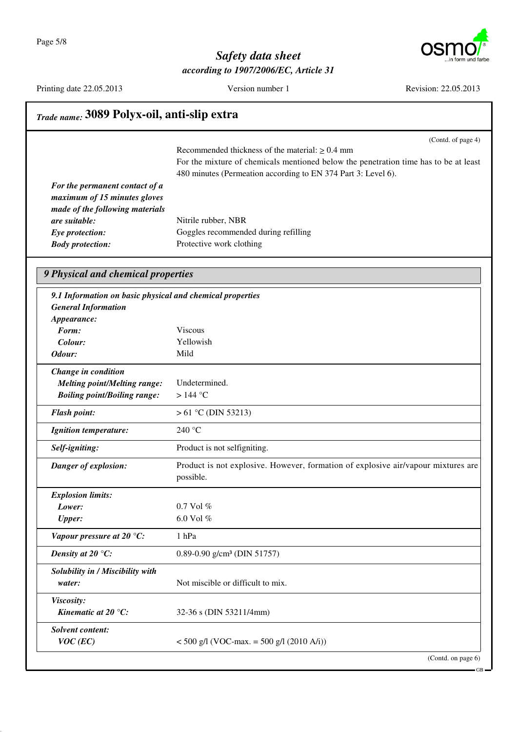

Printing date 22.05.2013

Version number 1

Revision: 22.05.2013

# Trade name: 3089 Polyx-oil, anti-slip extra

(Contd. of page 4)

Recommended thickness of the material:  $\geq 0.4$  mm For the mixture of chemicals mentioned below the penetration time has to be at least 480 minutes (Permeation according to EN 374 Part 3: Level 6).

| For the permanent contact of a  |                                      |
|---------------------------------|--------------------------------------|
| maximum of 15 minutes gloves    |                                      |
| made of the following materials |                                      |
| are suitable:                   | Nitrile rubber, NBR                  |
| Eye protection:                 | Goggles recommended during refilling |
| <b>Body protection:</b>         | Protective work clothing             |
|                                 |                                      |

#### 9 Physical and chemical properties

| 9.1 Information on basic physical and chemical properties |                                                                                                |
|-----------------------------------------------------------|------------------------------------------------------------------------------------------------|
| <b>General Information</b>                                |                                                                                                |
| Appearance:                                               |                                                                                                |
| Form:                                                     | <b>Viscous</b>                                                                                 |
| Colour:                                                   | Yellowish                                                                                      |
| Odour:                                                    | Mild                                                                                           |
| Change in condition                                       |                                                                                                |
| <b>Melting point/Melting range:</b>                       | Undetermined.                                                                                  |
| <b>Boiling point/Boiling range:</b>                       | $>144$ °C                                                                                      |
| <b>Flash point:</b>                                       | $> 61$ °C (DIN 53213)                                                                          |
| <b>Ignition temperature:</b>                              | 240 °C                                                                                         |
| Self-igniting:                                            | Product is not selfigniting.                                                                   |
| Danger of explosion:                                      | Product is not explosive. However, formation of explosive air/vapour mixtures are<br>possible. |
| <b>Explosion limits:</b>                                  |                                                                                                |
| Lower:                                                    | $0.7$ Vol $%$                                                                                  |
| <b>Upper:</b>                                             | 6.0 Vol %                                                                                      |
| Vapour pressure at 20 $°C$ :                              | 1 hPa                                                                                          |
| Density at 20 $\mathrm{C}$ :                              | 0.89-0.90 g/cm <sup>3</sup> (DIN 51757)                                                        |
| Solubility in / Miscibility with<br>water:                | Not miscible or difficult to mix.                                                              |
| Viscosity:<br>Kinematic at 20 $^{\circ}$ C:               | 32-36 s (DIN 53211/4mm)                                                                        |
| <b>Solvent content:</b><br>$VOC$ (EC)                     | $<$ 500 g/l (VOC-max. = 500 g/l (2010 A/i))                                                    |
|                                                           | (Contd. on page 6)                                                                             |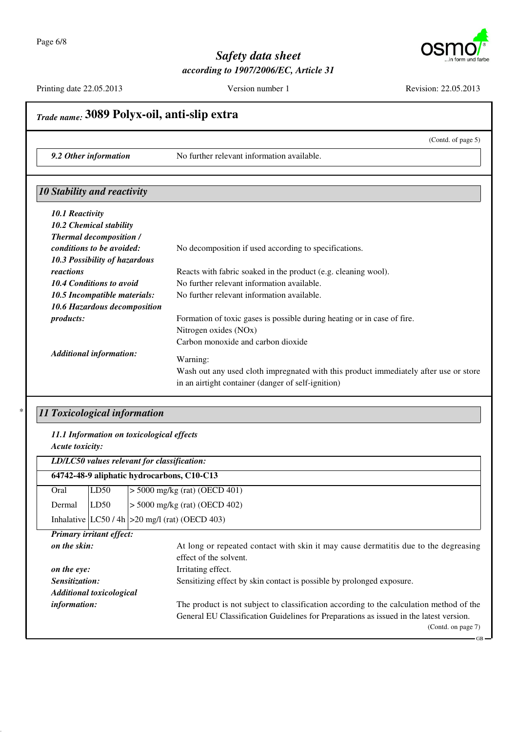

Printing date 22.05.2013

Version number 1

Revision: 22.05.2013

#### Trade name: 3089 Polyx-oil, anti-slip extra (Contd. of page 5) 9.2 Other information No further relevant information available. 10 Stability and reactivity 10.1 Reactivity 10.2 Chemical stability **Thermal decomposition /** No decomposition if used according to specifications. conditions to be avoided: 10.3 Possibility of hazardous reactions Reacts with fabric soaked in the product (e.g. cleaning wool). 10.4 Conditions to avoid No further relevant information available. 10.5 Incompatible materials: No further relevant information available. 10.6 Hazardous decomposition products: Formation of toxic gases is possible during heating or in case of fire. Nitrogen oxides (NOx) Carbon monoxide and carbon dioxide **Additional information:** Warning: Wash out any used cloth impregnated with this product immediately after use or store in an airtight container (danger of self-ignition) 11 Toxicological information 11.1 Information on toxicological effects Acute toxicity: LD/LC50 values relevant for classification: 64742-48-9 aliphatic hydrocarbons, C10-C13  $>$  5000 mg/kg (rat) (OECD 401) Oral  $LD50$ Dermal  $LD50$  $>$  5000 mg/kg (rat) (OECD 402) Inhalative  $|LC50/4h| > 20$  mg/l (rat) (OECD 403) **Primary irritant effect:**

on the skin:

|                                 | effect of the solvent.                                                                  |
|---------------------------------|-----------------------------------------------------------------------------------------|
| on the eye:                     | Irritating effect.                                                                      |
| Sensitization:                  | Sensitizing effect by skin contact is possible by prolonged exposure.                   |
| <b>Additional toxicological</b> |                                                                                         |
| <i>information:</i>             | The product is not subject to classification according to the calculation method of the |
|                                 | General EU Classification Guidelines for Preparations as issued in the latest version.  |
|                                 | (Contd. on page 7)                                                                      |

At long or repeated contact with skin it may cause dermatitis due to the degreasing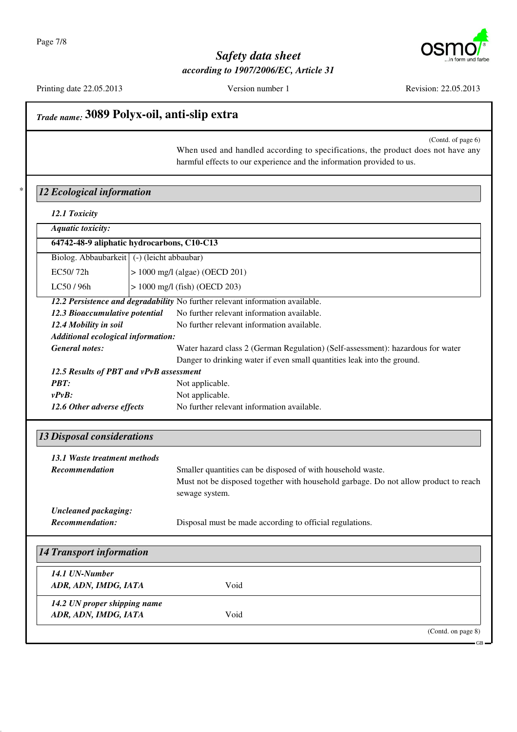

Printing date 22.05.2013

Version number 1

Revision: 22.05.2013

# Trade name: 3089 Polyx-oil, anti-slip extra

(Contd. of page 6)

When used and handled according to specifications, the product does not have any harmful effects to our experience and the information provided to us.

#### 12 Ecological information

12.1 Toxicity

|  | <b>Aquatic toxicity:</b> |
|--|--------------------------|
|  |                          |

|                                              | 64742-48-9 aliphatic hydrocarbons, C10-C13 |
|----------------------------------------------|--------------------------------------------|
| Biolog. Abbaubarkeit   (-) (leicht abbaubar) |                                            |
| EC50/72h                                     | $ > 1000 \text{ mg/l}$ (algae) (OECD 201)  |

 $> 1000$  mg/l (fish) (OECD 203) LC50/96h

12.2 Persistence and degradability No further relevant information available. 12.3 Bioaccumulative potential No further relevant information available. 12.4 Mobility in soil No further relevant information available. Additional ecological information: Water hazard class 2 (German Regulation) (Self-assessment): hazardous for water **General notes:** 

Danger to drinking water if even small quantities leak into the ground.

| 12.5 Results of PBT and vPvB assessment |                                            |  |
|-----------------------------------------|--------------------------------------------|--|
| <b>PBT:</b>                             | Not applicable.                            |  |
| $v P v B$ :                             | Not applicable.                            |  |
| 12.6 Other adverse effects              | No further relevant information available. |  |

#### **13 Disposal considerations**

| 13.1 Waste treatment methods |                                                                                                       |
|------------------------------|-------------------------------------------------------------------------------------------------------|
| <b>Recommendation</b>        | Smaller quantities can be disposed of with household waste.                                           |
|                              | Must not be disposed together with household garbage. Do not allow product to reach<br>sewage system. |
| Uncleaned packaging:         |                                                                                                       |
| <b>Recommendation:</b>       | Disposal must be made according to official regulations.                                              |

| <b>14 Transport information</b>                      |      |                   |
|------------------------------------------------------|------|-------------------|
| 14.1 UN-Number<br>ADR, ADN, IMDG, IATA               | Void |                   |
| 14.2 UN proper shipping name<br>ADR, ADN, IMDG, IATA | Void |                   |
|                                                      |      | (Cond. on page 8) |

GR